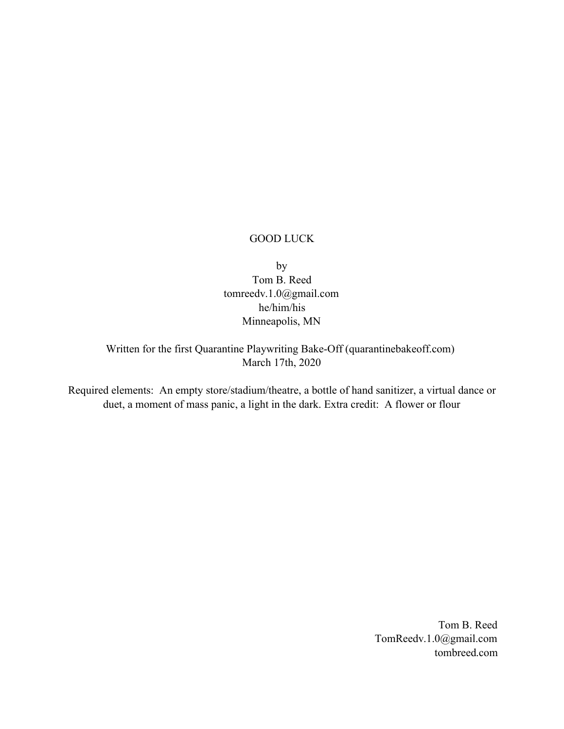# GOOD LUCK

by

Tom B. Reed tomreedv.1.0@gmail.com he/him/his Minneapolis, MN

Written for the first Quarantine Playwriting Bake-Off (quarantinebakeoff.com) March 17th, 2020

Required elements: An empty store/stadium/theatre, a bottle of hand sanitizer, a virtual dance or duet, a moment of mass panic, a light in the dark. Extra credit: A flower or flour

> Tom B. Reed TomReedv.1.0@gmail.com tombreed.com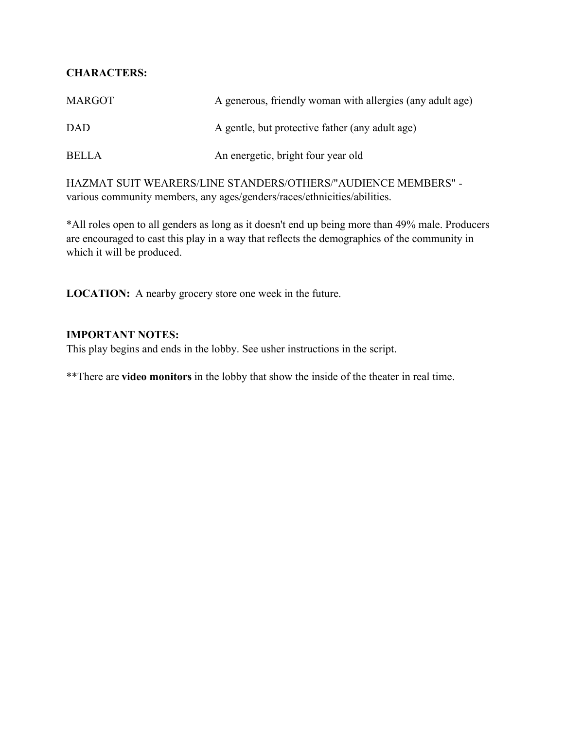# **CHARACTERS:**

| <b>MARGOT</b> | A generous, friendly woman with allergies (any adult age) |
|---------------|-----------------------------------------------------------|
| <b>DAD</b>    | A gentle, but protective father (any adult age)           |
| <b>BELLA</b>  | An energetic, bright four year old                        |

HAZMAT SUIT WEARERS/LINE STANDERS/OTHERS/"AUDIENCE MEMBERS" various community members, any ages/genders/races/ethnicities/abilities.

\*All roles open to all genders as long as it doesn't end up being more than 49% male. Producers are encouraged to cast this play in a way that reflects the demographics of the community in which it will be produced.

**LOCATION:** A nearby grocery store one week in the future.

# **IMPORTANT NOTES:**

This play begins and ends in the lobby. See usher instructions in the script.

\*\*There are **video monitors** in the lobby that show the inside of the theater in real time.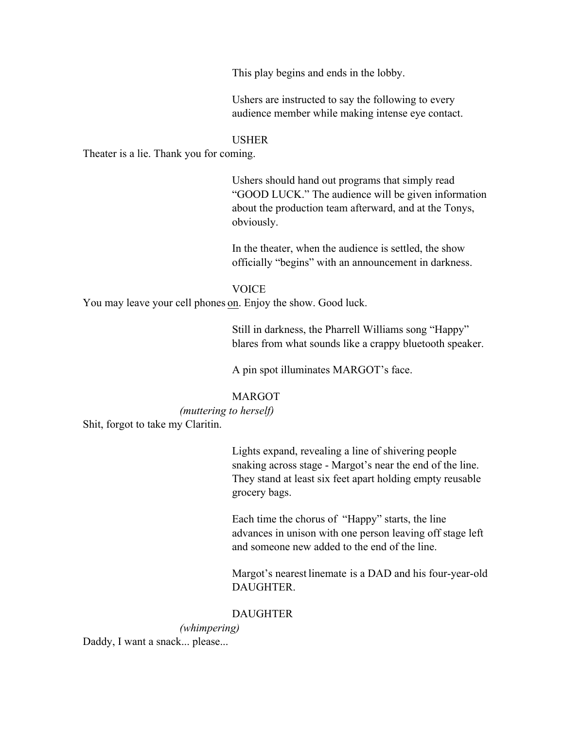This play begins and ends in the lobby.

Ushers are instructed to say the following to every audience member while making intense eye contact.

### USHER

Theater is a lie. Thank you for coming.

Ushers should hand out programs that simply read "GOOD LUCK." The audience will be given information about the production team afterward, and at the Tonys, obviously.

In the theater, when the audience is settled, the show officially "begins" with an announcement in darkness.

#### VOICE

You may leave your cell phones on. Enjoy the show. Good luck.

Still in darkness, the Pharrell Williams song "Happy" blares from what sounds like a crappy bluetooth speaker.

A pin spot illuminates MARGOT's face.

## MARGOT

*(muttering to herself)* Shit, forgot to take my Claritin.

> Lights expand, revealing a line of shivering people snaking across stage - Margot's near the end of the line. They stand at least six feet apart holding empty reusable grocery bags.

Each time the chorus of "Happy" starts, the line advances in unison with one person leaving off stage left and someone new added to the end of the line.

Margot's nearest linemate is a DAD and his four-year-old DAUGHTER.

#### DAUGHTER

*(whimpering)* Daddy, I want a snack... please...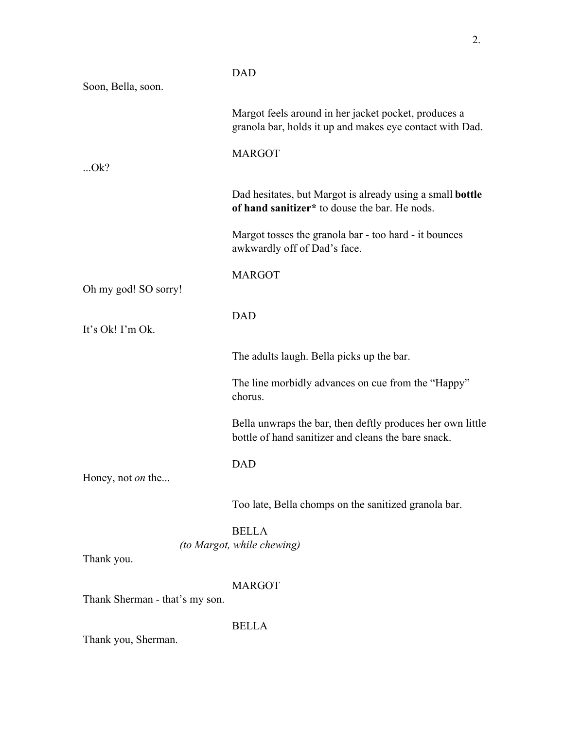|                                | <b>DAD</b>                                                                                                        |
|--------------------------------|-------------------------------------------------------------------------------------------------------------------|
| Soon, Bella, soon.             |                                                                                                                   |
|                                | Margot feels around in her jacket pocket, produces a<br>granola bar, holds it up and makes eye contact with Dad.  |
|                                | <b>MARGOT</b>                                                                                                     |
| $$ Ok?                         |                                                                                                                   |
|                                | Dad hesitates, but Margot is already using a small <b>bottle</b><br>of hand sanitizer* to douse the bar. He nods. |
|                                | Margot tosses the granola bar - too hard - it bounces<br>awkwardly off of Dad's face.                             |
|                                | <b>MARGOT</b>                                                                                                     |
| Oh my god! SO sorry!           |                                                                                                                   |
|                                | <b>DAD</b>                                                                                                        |
| It's Ok! I'm Ok.               |                                                                                                                   |
|                                | The adults laugh. Bella picks up the bar.                                                                         |
|                                | The line morbidly advances on cue from the "Happy"<br>chorus.                                                     |
|                                | Bella unwraps the bar, then deftly produces her own little<br>bottle of hand sanitizer and cleans the bare snack. |
|                                | <b>DAD</b>                                                                                                        |
| Honey, not <i>on</i> the       |                                                                                                                   |
|                                | Too late, Bella chomps on the sanitized granola bar.                                                              |
|                                | <b>BELLA</b>                                                                                                      |
|                                | (to Margot, while chewing)                                                                                        |
| Thank you.                     |                                                                                                                   |
|                                | <b>MARGOT</b>                                                                                                     |
| Thank Sherman - that's my son. |                                                                                                                   |
| Thank you, Sherman.            | <b>BELLA</b>                                                                                                      |
|                                |                                                                                                                   |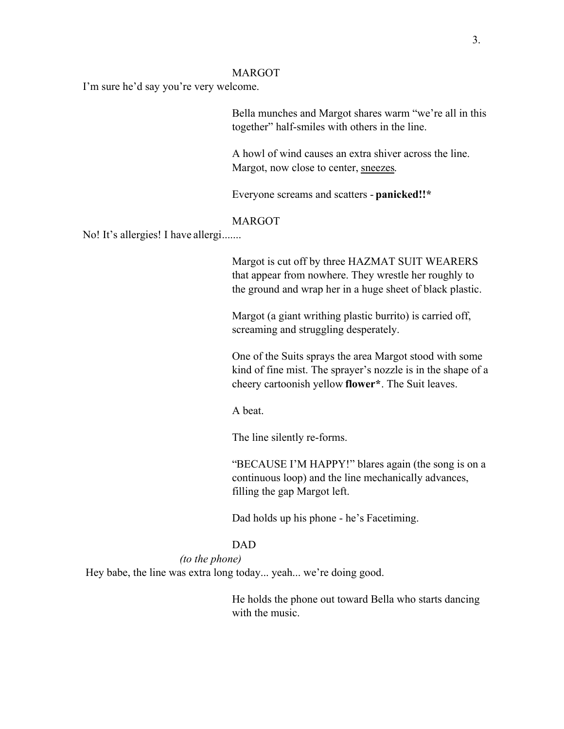#### MARGOT

I'm sure he'd say you're very welcome.

Bella munches and Margot shares warm "we're all in this together" half-smiles with others in the line.

A howl of wind causes an extra shiver across the line. Margot, now close to center, sneezes.

Everyone screams and scatters - **panicked!!\***

### MARGOT

No! It's allergies! I have allergi.......

Margot is cut off by three HAZMAT SUIT WEARERS that appear from nowhere. They wrestle her roughly to the ground and wrap her in a huge sheet of black plastic.

Margot (a giant writhing plastic burrito) is carried off, screaming and struggling desperately.

One of the Suits sprays the area Margot stood with some kind of fine mist. The sprayer's nozzle is in the shape of a cheery cartoonish yellow **flower\***. The Suit leaves.

A beat.

The line silently re-forms.

"BECAUSE I'M HAPPY!" blares again (the song is on a continuous loop) and the line mechanically advances, filling the gap Margot left.

Dad holds up his phone - he's Facetiming.

#### DAD

### *(to the phone)*

Hey babe, the line was extra long today... yeah... we're doing good.

He holds the phone out toward Bella who starts dancing with the music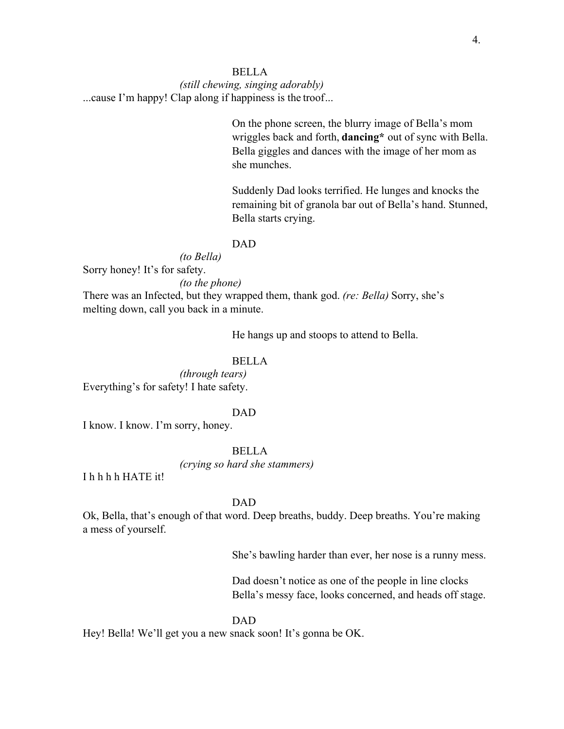## BELLA

*(still chewing, singing adorably)* ...cause I'm happy! Clap along if happiness is the troof...

> On the phone screen, the blurry image of Bella's mom wriggles back and forth, **dancing\*** out of sync with Bella. Bella giggles and dances with the image of her mom as she munches.

> Suddenly Dad looks terrified. He lunges and knocks the remaining bit of granola bar out of Bella's hand. Stunned, Bella starts crying.

## DAD

*(to Bella)*

Sorry honey! It's for safety.

*(to the phone)*

There was an Infected, but they wrapped them, thank god. *(re: Bella)* Sorry, she's melting down, call you back in a minute.

He hangs up and stoops to attend to Bella.

## BELLA

*(through tears)* Everything's for safety! I hate safety.

#### DAD

I know. I know. I'm sorry, honey.

BELLA

*(crying so hard she stammers)*

I h h h h HATE it!

## DAD

Ok, Bella, that's enough of that word. Deep breaths, buddy. Deep breaths. You're making a mess of yourself.

She's bawling harder than ever, her nose is a runny mess.

Dad doesn't notice as one of the people in line clocks Bella's messy face, looks concerned, and heads off stage.

#### DAD

Hey! Bella! We'll get you a new snack soon! It's gonna be OK.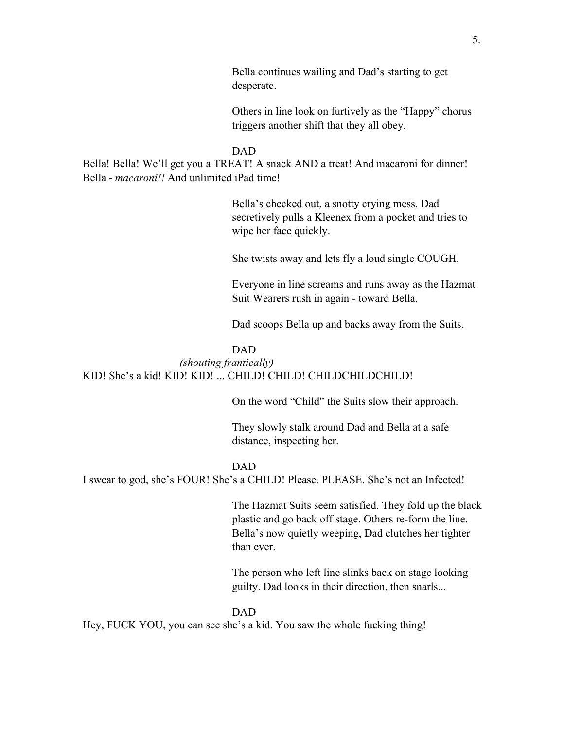Bella continues wailing and Dad's starting to get desperate.

Others in line look on furtively as the "Happy" chorus triggers another shift that they all obey.

#### DAD

Bella! Bella! We'll get you a TREAT! A snack AND a treat! And macaroni for dinner! Bella - *macaroni!!* And unlimited iPad time!

> Bella's checked out, a snotty crying mess. Dad secretively pulls a Kleenex from a pocket and tries to wipe her face quickly.

She twists away and lets fly a loud single COUGH.

Everyone in line screams and runs away as the Hazmat Suit Wearers rush in again - toward Bella.

Dad scoops Bella up and backs away from the Suits.

#### DAD

#### *(shouting frantically)*

KID! She's a kid! KID! KID! ... CHILD! CHILD! CHILDCHILDCHILD!

On the word "Child" the Suits slow their approach.

They slowly stalk around Dad and Bella at a safe distance, inspecting her.

#### DAD

I swear to god, she's FOUR! She's a CHILD! Please. PLEASE. She's not an Infected!

The Hazmat Suits seem satisfied. They fold up the black plastic and go back off stage. Others re-form the line. Bella's now quietly weeping, Dad clutches her tighter than ever.

The person who left line slinks back on stage looking guilty. Dad looks in their direction, then snarls...

#### DAD

Hey, FUCK YOU, you can see she's a kid. You saw the whole fucking thing!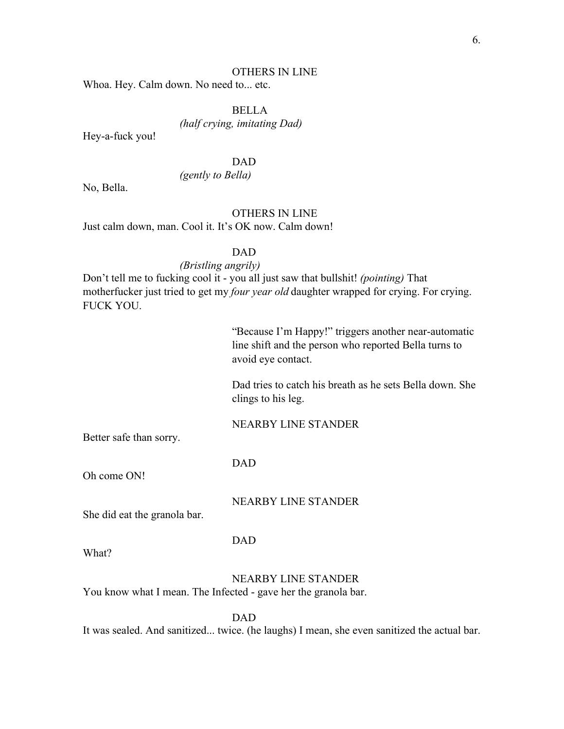### OTHERS IN LINE

Whoa. Hey. Calm down. No need to... etc.

BELLA

*(half crying, imitating Dad)*

Hey-a-fuck you!

DAD

*(gently to Bella)*

No, Bella.

## OTHERS IN LINE

Just calm down, man. Cool it. It's OK now. Calm down!

#### DAD

### *(Bristling angrily)*

Don't tell me to fucking cool it - you all just saw that bullshit! *(pointing)* That motherfucker just tried to get my *four year old* daughter wrapped for crying. For crying. FUCK YOU.

> "Because I'm Happy!" triggers another near-automatic line shift and the person who reported Bella turns to avoid eye contact.

> Dad tries to catch his breath as he sets Bella down. She clings to his leg.

NEARBY LINE STANDER

Better safe than sorry.

DAD

Oh come ON!

NEARBY LINE STANDER

She did eat the granola bar.

DAD

What?

NEARBY LINE STANDER

You know what I mean. The Infected - gave her the granola bar.

DAD

It was sealed. And sanitized... twice. (he laughs) I mean, she even sanitized the actual bar.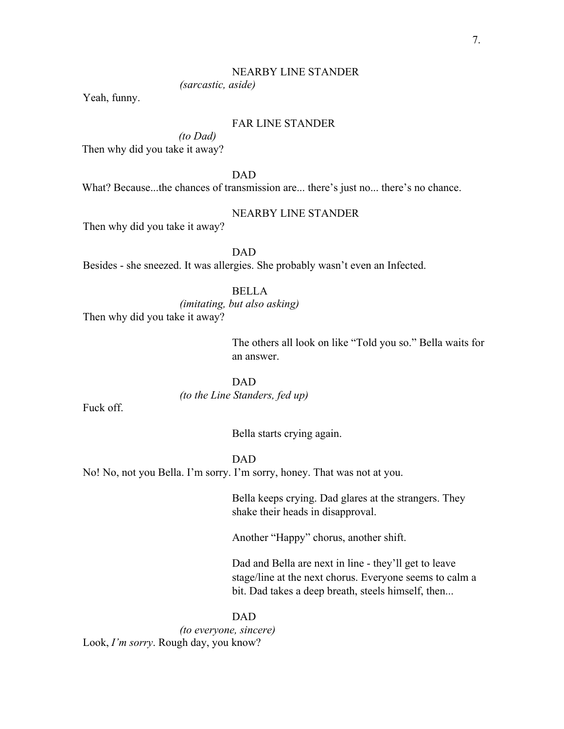#### NEARBY LINE STANDER

*(sarcastic, aside)*

Yeah, funny.

# FAR LINE STANDER

*(to Dad)* Then why did you take it away?

DAD

What? Because...the chances of transmission are... there's just no... there's no chance.

## NEARBY LINE STANDER

Then why did you take it away?

DAD

Besides - she sneezed. It was allergies. She probably wasn't even an Infected.

BELLA

*(imitating, but also asking)*

Then why did you take it away?

The others all look on like "Told you so." Bella waits for an answer.

DAD *(to the Line Standers, fed up)*

Fuck off.

Bella starts crying again.

DAD

No! No, not you Bella. I'm sorry. I'm sorry, honey. That was not at you.

Bella keeps crying. Dad glares at the strangers. They shake their heads in disapproval.

Another "Happy" chorus, another shift.

Dad and Bella are next in line - they'll get to leave stage/line at the next chorus. Everyone seems to calm a bit. Dad takes a deep breath, steels himself, then...

DAD *(to everyone, sincere)* Look, *I'm sorry*. Rough day, you know?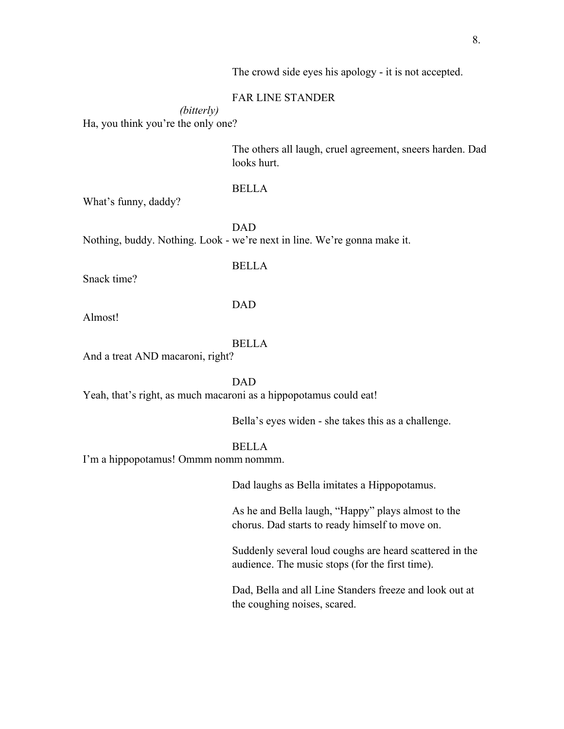The crowd side eyes his apology - it is not accepted.

## FAR LINE STANDER

*(bitterly)* Ha, you think you're the only one?

> The others all laugh, cruel agreement, sneers harden. Dad looks hurt.

## BELLA

What's funny, daddy?

DAD Nothing, buddy. Nothing. Look - we're next in line. We're gonna make it.

BELLA

Snack time?

## DAD

Almost!

#### BELLA

And a treat AND macaroni, right?

DAD

Yeah, that's right, as much macaroni as a hippopotamus could eat!

Bella's eyes widen - she takes this as a challenge.

## BELLA

I'm a hippopotamus! Ommm nomm nommm.

Dad laughs as Bella imitates a Hippopotamus.

As he and Bella laugh, "Happy" plays almost to the chorus. Dad starts to ready himself to move on.

Suddenly several loud coughs are heard scattered in the audience. The music stops (for the first time).

Dad, Bella and all Line Standers freeze and look out at the coughing noises, scared.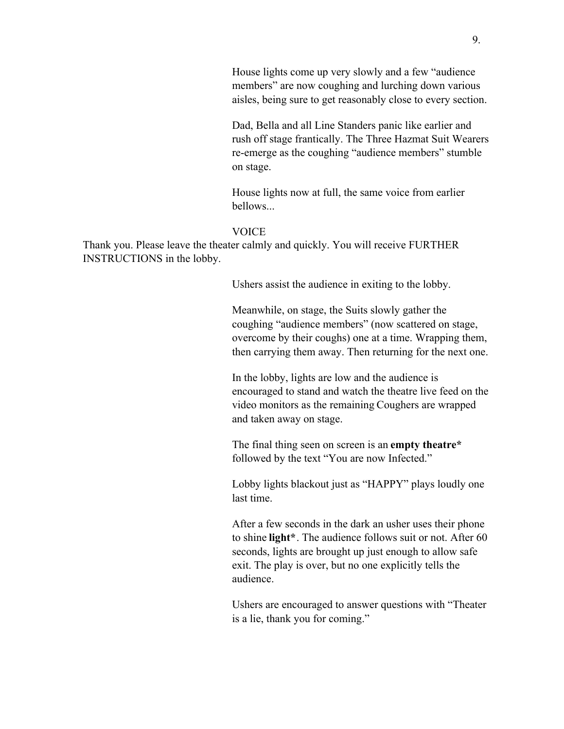House lights come up very slowly and a few "audience members" are now coughing and lurching down various aisles, being sure to get reasonably close to every section.

Dad, Bella and all Line Standers panic like earlier and rush off stage frantically. The Three Hazmat Suit Wearers re-emerge as the coughing "audience members" stumble on stage.

House lights now at full, the same voice from earlier bellows...

### **VOICE**

Thank you. Please leave the theater calmly and quickly. You will receive FURTHER INSTRUCTIONS in the lobby.

Ushers assist the audience in exiting to the lobby.

Meanwhile, on stage, the Suits slowly gather the coughing "audience members" (now scattered on stage, overcome by their coughs) one at a time. Wrapping them, then carrying them away. Then returning for the next one.

In the lobby, lights are low and the audience is encouraged to stand and watch the theatre live feed on the video monitors as the remaining Coughers are wrapped and taken away on stage.

The final thing seen on screen is an **empty theatre\*** followed by the text "You are now Infected."

Lobby lights blackout just as "HAPPY" plays loudly one last time.

After a few seconds in the dark an usher uses their phone to shine **light\***. The audience follows suit or not. After 60 seconds, lights are brought up just enough to allow safe exit. The play is over, but no one explicitly tells the audience.

Ushers are encouraged to answer questions with "Theater is a lie, thank you for coming."